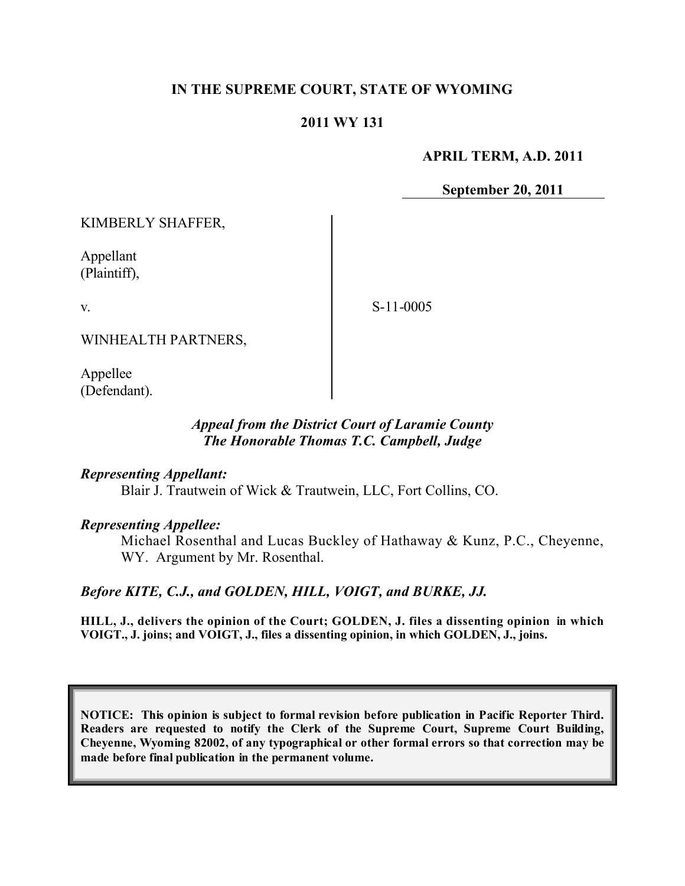## **IN THE SUPREME COURT, STATE OF WYOMING**

### **2011 WY 131**

#### **APRIL TERM, A.D. 2011**

**September 20, 2011**

KIMBERLY SHAFFER,

Appellant (Plaintiff),

v.

S-11-0005

WINHEALTH PARTNERS,

Appellee (Defendant).

#### *Appeal from the District Court of Laramie County The Honorable Thomas T.C. Campbell, Judge*

#### *Representing Appellant:*

Blair J. Trautwein of Wick & Trautwein, LLC, Fort Collins, CO.

#### *Representing Appellee:*

Michael Rosenthal and Lucas Buckley of Hathaway & Kunz, P.C., Cheyenne, WY. Argument by Mr. Rosenthal.

*Before KITE, C.J., and GOLDEN, HILL, VOIGT, and BURKE, JJ.*

**HILL, J., delivers the opinion of the Court; GOLDEN, J. files a dissenting opinion in which VOIGT., J. joins; and VOIGT, J., files a dissenting opinion, in which GOLDEN, J., joins.**

**NOTICE: This opinion is subject to formal revision before publication in Pacific Reporter Third. Readers are requested to notify the Clerk of the Supreme Court, Supreme Court Building, Cheyenne, Wyoming 82002, of any typographical or other formal errors so that correction may be made before final publication in the permanent volume.**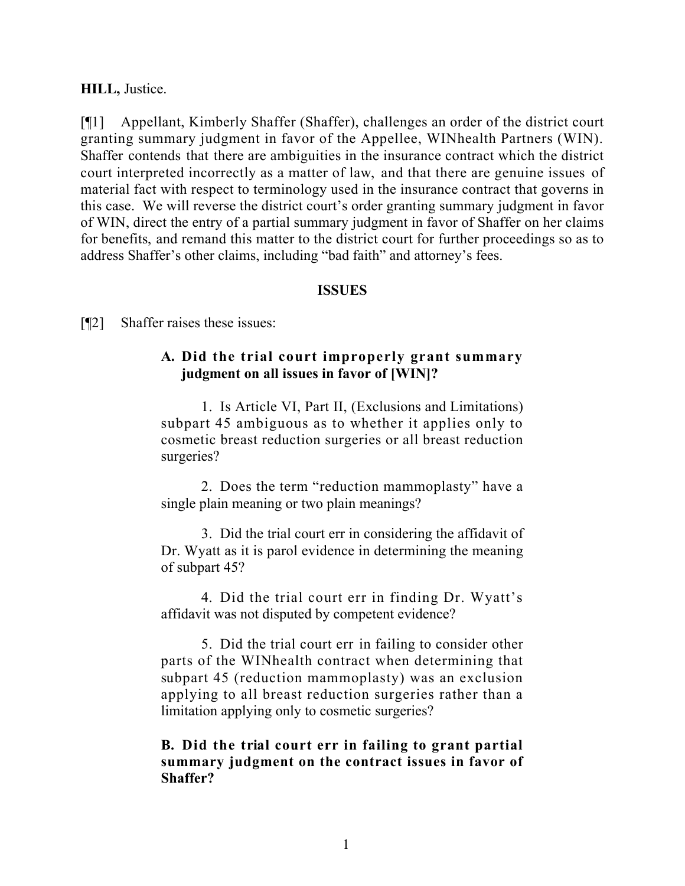#### **HILL,** Justice.

[¶1] Appellant, Kimberly Shaffer (Shaffer), challenges an order of the district court granting summary judgment in favor of the Appellee, WINhealth Partners (WIN). Shaffer contends that there are ambiguities in the insurance contract which the district court interpreted incorrectly as a matter of law, and that there are genuine issues of material fact with respect to terminology used in the insurance contract that governs in this case. We will reverse the district court's order granting summary judgment in favor of WIN, direct the entry of a partial summary judgment in favor of Shaffer on her claims for benefits, and remand this matter to the district court for further proceedings so as to address Shaffer's other claims, including "bad faith" and attorney's fees.

#### **ISSUES**

[¶2] Shaffer raises these issues:

#### **A. Did the trial court improperly grant summary judgment on all issues in favor of [WIN]?**

1. Is Article VI, Part II, (Exclusions and Limitations) subpart 45 ambiguous as to whether it applies only to cosmetic breast reduction surgeries or all breast reduction surgeries?

2. Does the term "reduction mammoplasty" have a single plain meaning or two plain meanings?

3. Did the trial court err in considering the affidavit of Dr. Wyatt as it is parol evidence in determining the meaning of subpart 45?

4. Did the trial court err in finding Dr. Wyatt's affidavit was not disputed by competent evidence?

5. Did the trial court err in failing to consider other parts of the WINhealth contract when determining that subpart 45 (reduction mammoplasty) was an exclusion applying to all breast reduction surgeries rather than a limitation applying only to cosmetic surgeries?

#### **B. Did the trial court err in failing to grant partial summary judgment on the contract issues in favor of Shaffer?**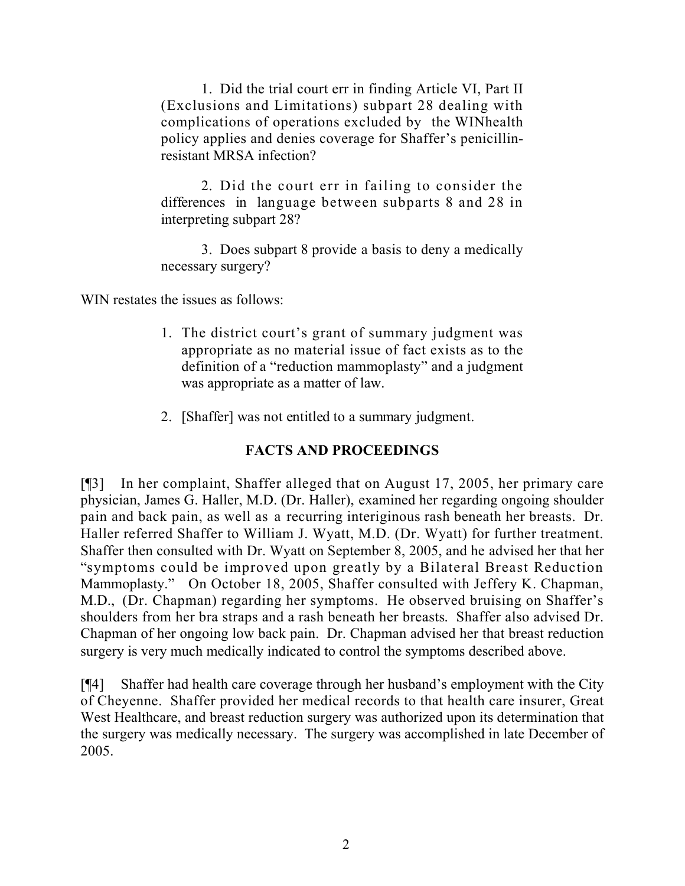1. Did the trial court err in finding Article VI, Part II (Exclusions and Limitations) subpart 28 dealing with complications of operations excluded by the WINhealth policy applies and denies coverage for Shaffer's penicillinresistant MRSA infection?

2. Did the court err in failing to consider the differences in language between subparts 8 and 28 in interpreting subpart 28?

3. Does subpart 8 provide a basis to deny a medically necessary surgery?

WIN restates the issues as follows:

- 1. The district court's grant of summary judgment was appropriate as no material issue of fact exists as to the definition of a "reduction mammoplasty" and a judgment was appropriate as a matter of law.
- 2. [Shaffer] was not entitled to a summary judgment.

# **FACTS AND PROCEEDINGS**

[¶3] In her complaint, Shaffer alleged that on August 17, 2005, her primary care physician, James G. Haller, M.D. (Dr. Haller), examined her regarding ongoing shoulder pain and back pain, as well as a recurring interiginous rash beneath her breasts. Dr. Haller referred Shaffer to William J. Wyatt, M.D. (Dr. Wyatt) for further treatment. Shaffer then consulted with Dr. Wyatt on September 8, 2005, and he advised her that her "symptoms could be improved upon greatly by a Bilateral Breast Reduction Mammoplasty." On October 18, 2005, Shaffer consulted with Jeffery K. Chapman, M.D., (Dr. Chapman) regarding her symptoms. He observed bruising on Shaffer's shoulders from her bra straps and a rash beneath her breasts. Shaffer also advised Dr. Chapman of her ongoing low back pain. Dr. Chapman advised her that breast reduction surgery is very much medically indicated to control the symptoms described above.

[¶4] Shaffer had health care coverage through her husband's employment with the City of Cheyenne. Shaffer provided her medical records to that health care insurer, Great West Healthcare, and breast reduction surgery was authorized upon its determination that the surgery was medically necessary. The surgery was accomplished in late December of 2005.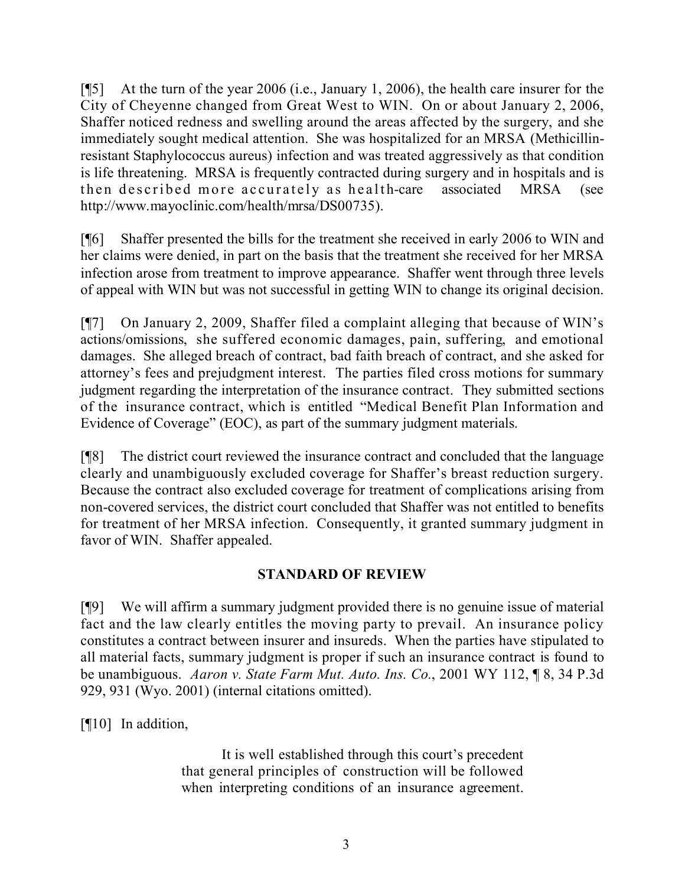[¶5] At the turn of the year 2006 (i.e., January 1, 2006), the health care insurer for the City of Cheyenne changed from Great West to WIN. On or about January 2, 2006, Shaffer noticed redness and swelling around the areas affected by the surgery, and she immediately sought medical attention. She was hospitalized for an MRSA (Methicillinresistant Staphylococcus aureus) infection and was treated aggressively as that condition is life threatening. MRSA is frequently contracted during surgery and in hospitals and is then described more accurately as health-care associated MRSA (see http://www.mayoclinic.com/health/mrsa/DS00735).

[¶6] Shaffer presented the bills for the treatment she received in early 2006 to WIN and her claims were denied, in part on the basis that the treatment she received for her MRSA infection arose from treatment to improve appearance. Shaffer went through three levels of appeal with WIN but was not successful in getting WIN to change its original decision.

[¶7] On January 2, 2009, Shaffer filed a complaint alleging that because of WIN's actions/omissions, she suffered economic damages, pain, suffering, and emotional damages. She alleged breach of contract, bad faith breach of contract, and she asked for attorney's fees and prejudgment interest. The parties filed cross motions for summary judgment regarding the interpretation of the insurance contract. They submitted sections of the insurance contract, which is entitled "Medical Benefit Plan Information and Evidence of Coverage" (EOC), as part of the summary judgment materials.

[¶8] The district court reviewed the insurance contract and concluded that the language clearly and unambiguously excluded coverage for Shaffer's breast reduction surgery. Because the contract also excluded coverage for treatment of complications arising from non-covered services, the district court concluded that Shaffer was not entitled to benefits for treatment of her MRSA infection. Consequently, it granted summary judgment in favor of WIN. Shaffer appealed.

# **STANDARD OF REVIEW**

[¶9] We will affirm a summary judgment provided there is no genuine issue of material fact and the law clearly entitles the moving party to prevail. An insurance policy constitutes a contract between insurer and insureds. When the parties have stipulated to all material facts, summary judgment is proper if such an insurance contract is found to be unambiguous. *Aaron v. State Farm Mut. Auto. Ins. Co.*, 2001 WY 112, ¶ 8, 34 P.3d 929, 931 (Wyo. 2001) (internal citations omitted).

[¶10] In addition,

It is well established through this court's precedent that general principles of construction will be followed when interpreting conditions of an insurance agreement.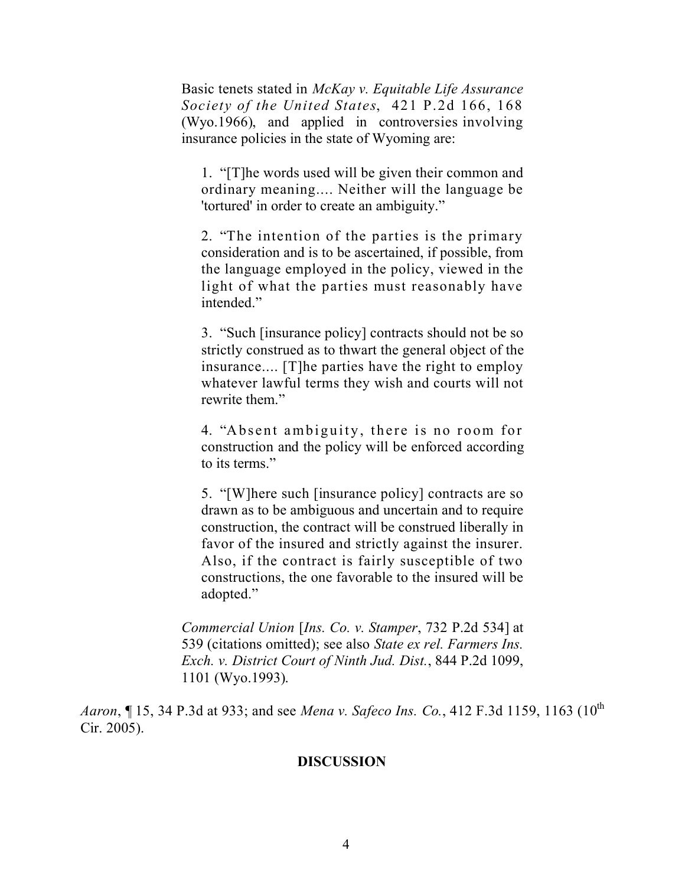Basic tenets stated in *McKay v. Equitable Life Assurance Society of the United States*, 421 P.2d 166, 168 (Wyo.1966), and applied in controversies involving insurance policies in the state of Wyoming are:

1. "[T]he words used will be given their common and ordinary meaning.... Neither will the language be 'tortured' in order to create an ambiguity."

2. "The intention of the parties is the primary consideration and is to be ascertained, if possible, from the language employed in the policy, viewed in the light of what the parties must reasonably have intended."

3. "Such [insurance policy] contracts should not be so strictly construed as to thwart the general object of the insurance.... [T]he parties have the right to employ whatever lawful terms they wish and courts will not rewrite them."

4. "Absent ambiguity, there is no room for construction and the policy will be enforced according to its terms."

5. "[W]here such [insurance policy] contracts are so drawn as to be ambiguous and uncertain and to require construction, the contract will be construed liberally in favor of the insured and strictly against the insurer. Also, if the contract is fairly susceptible of two constructions, the one favorable to the insured will be adopted."

*Commercial Union* [*Ins. Co. v. Stamper*, 732 P.2d 534] at 539 (citations omitted); see also *State ex rel. Farmers Ins. Exch. v. District Court of Ninth Jud. Dist.*, 844 P.2d 1099, 1101 (Wyo.1993).

*Aaron*, 15, 34 P.3d at 933; and see *Mena v. Safeco Ins. Co.*, 412 F.3d 1159, 1163 (10<sup>th</sup>) Cir. 2005).

#### **DISCUSSION**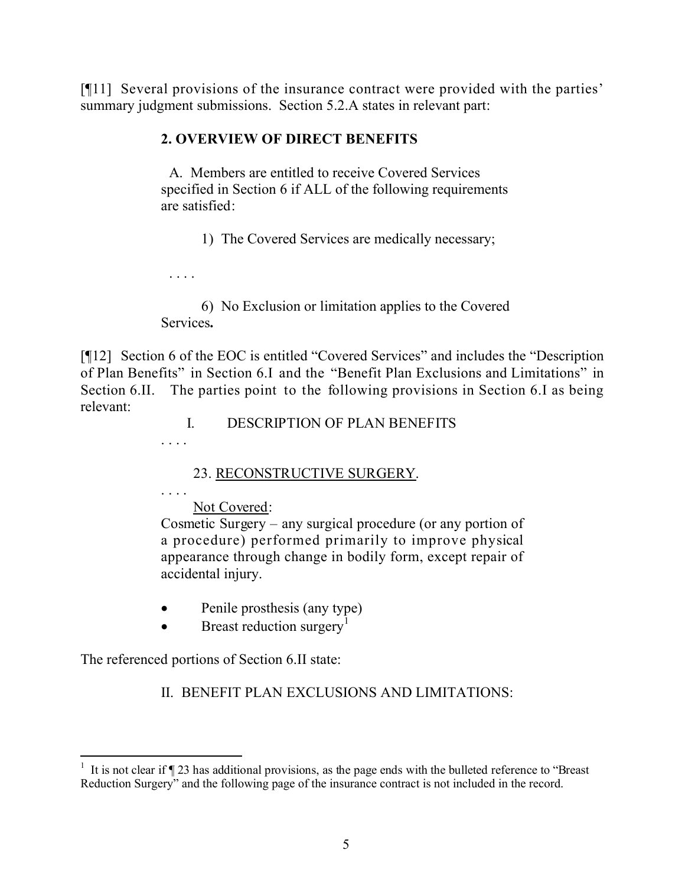[¶11] Several provisions of the insurance contract were provided with the parties' summary judgment submissions. Section 5.2.A states in relevant part:

## **2. OVERVIEW OF DIRECT BENEFITS**

A. Members are entitled to receive Covered Services specified in Section 6 if ALL of the following requirements are satisfied:

1) The Covered Services are medically necessary;

. . . .

6) No Exclusion or limitation applies to the Covered Services**.**

[¶12] Section 6 of the EOC is entitled "Covered Services" and includes the "Description of Plan Benefits" in Section 6.I and the "Benefit Plan Exclusions and Limitations" in Section 6.II. The parties point to the following provisions in Section 6.I as being relevant:

I. DESCRIPTION OF PLAN BENEFITS

. . . .

23. RECONSTRUCTIVE SURGERY.

. . . .

Not Covered:

Cosmetic Surgery – any surgical procedure (or any portion of a procedure) performed primarily to improve physical appearance through change in bodily form, except repair of accidental injury.

- Penile prosthesis (any type)
- $\bullet$  Breast reduction surgery<sup>1</sup>

The referenced portions of Section 6.II state:

II. BENEFIT PLAN EXCLUSIONS AND LIMITATIONS:

<sup>&</sup>lt;sup>1</sup> It is not clear if  $\P$  23 has additional provisions, as the page ends with the bulleted reference to "Breast" Reduction Surgery" and the following page of the insurance contract is not included in the record.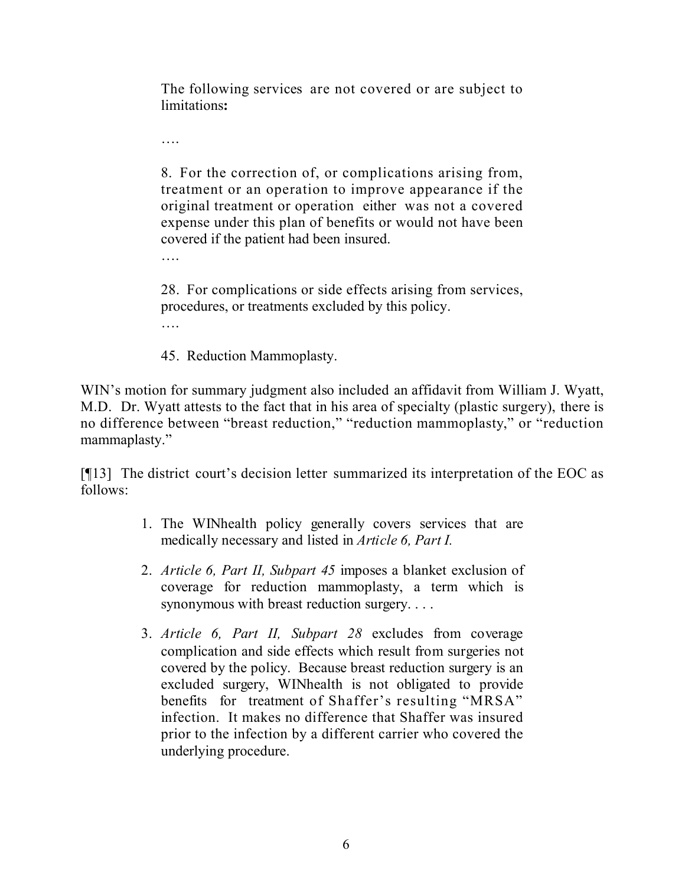The following services are not covered or are subject to limitations**:**

8. For the correction of, or complications arising from, treatment or an operation to improve appearance if the original treatment or operation either was not a covered expense under this plan of benefits or would not have been covered if the patient had been insured.

….

….

28. For complications or side effects arising from services, procedures, or treatments excluded by this policy. ….

45. Reduction Mammoplasty.

WIN's motion for summary judgment also included an affidavit from William J. Wyatt, M.D. Dr. Wyatt attests to the fact that in his area of specialty (plastic surgery), there is no difference between "breast reduction," "reduction mammoplasty," or "reduction mammaplasty."

[¶13] The district court's decision letter summarized its interpretation of the EOC as follows:

- 1. The WINhealth policy generally covers services that are medically necessary and listed in *Article 6, Part I.*
- 2. *Article 6, Part II, Subpart 45* imposes a blanket exclusion of coverage for reduction mammoplasty, a term which is synonymous with breast reduction surgery. . . .
- 3. *Article 6, Part II, Subpart 28* excludes from coverage complication and side effects which result from surgeries not covered by the policy. Because breast reduction surgery is an excluded surgery, WINhealth is not obligated to provide benefits for treatment of Shaffer's resulting "MRSA" infection. It makes no difference that Shaffer was insured prior to the infection by a different carrier who covered the underlying procedure.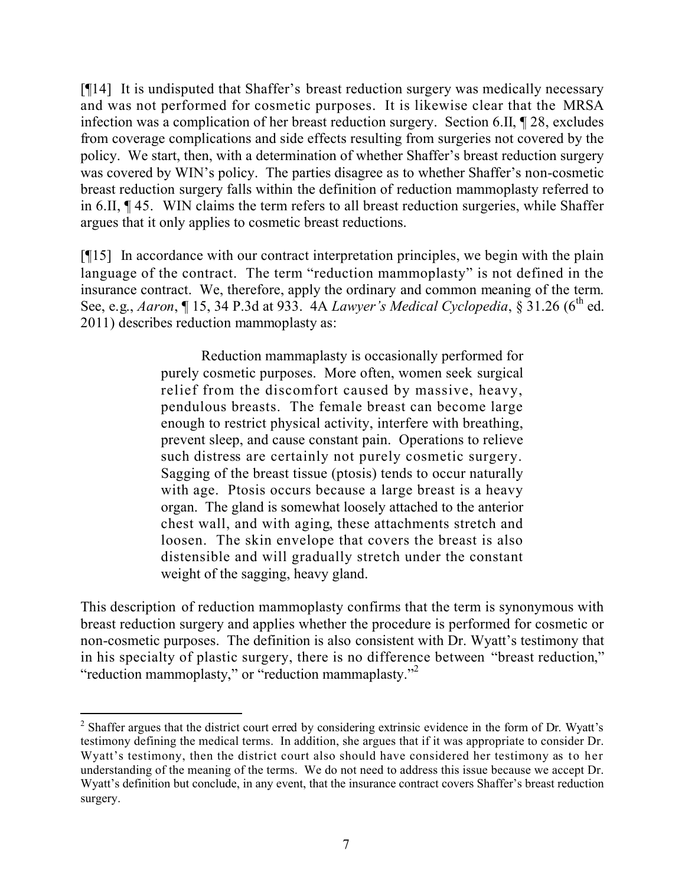[¶14] It is undisputed that Shaffer's breast reduction surgery was medically necessary and was not performed for cosmetic purposes. It is likewise clear that the MRSA infection was a complication of her breast reduction surgery. Section 6.II, ¶ 28, excludes from coverage complications and side effects resulting from surgeries not covered by the policy. We start, then, with a determination of whether Shaffer's breast reduction surgery was covered by WIN's policy. The parties disagree as to whether Shaffer's non-cosmetic breast reduction surgery falls within the definition of reduction mammoplasty referred to in 6.II, ¶ 45. WIN claims the term refers to all breast reduction surgeries, while Shaffer argues that it only applies to cosmetic breast reductions.

[¶15] In accordance with our contract interpretation principles, we begin with the plain language of the contract. The term "reduction mammoplasty" is not defined in the insurance contract. We, therefore, apply the ordinary and common meaning of the term. See, e.g., *Aaron*, ¶ 15, 34 P.3d at 933. 4A *Lawyer's Medical Cyclopedia*, § 31.26 (6<sup>th</sup> ed. 2011) describes reduction mammoplasty as:

> Reduction mammaplasty is occasionally performed for purely cosmetic purposes. More often, women seek surgical relief from the discomfort caused by massive, heavy, pendulous breasts. The female breast can become large enough to restrict physical activity, interfere with breathing, prevent sleep, and cause constant pain. Operations to relieve such distress are certainly not purely cosmetic surgery. Sagging of the breast tissue (ptosis) tends to occur naturally with age. Ptosis occurs because a large breast is a heavy organ. The gland is somewhat loosely attached to the anterior chest wall, and with aging, these attachments stretch and loosen. The skin envelope that covers the breast is also distensible and will gradually stretch under the constant weight of the sagging, heavy gland.

This description of reduction mammoplasty confirms that the term is synonymous with breast reduction surgery and applies whether the procedure is performed for cosmetic or non-cosmetic purposes. The definition is also consistent with Dr. Wyatt's testimony that in his specialty of plastic surgery, there is no difference between "breast reduction," "reduction mammoplasty," or "reduction mammaplasty."<sup>2</sup>

<sup>&</sup>lt;sup>2</sup> Shaffer argues that the district court erred by considering extrinsic evidence in the form of Dr. Wyatt's testimony defining the medical terms. In addition, she argues that if it was appropriate to consider Dr. Wyatt's testimony, then the district court also should have considered her testimony as to her understanding of the meaning of the terms. We do not need to address this issue because we accept Dr. Wyatt's definition but conclude, in any event, that the insurance contract covers Shaffer's breast reduction surgery.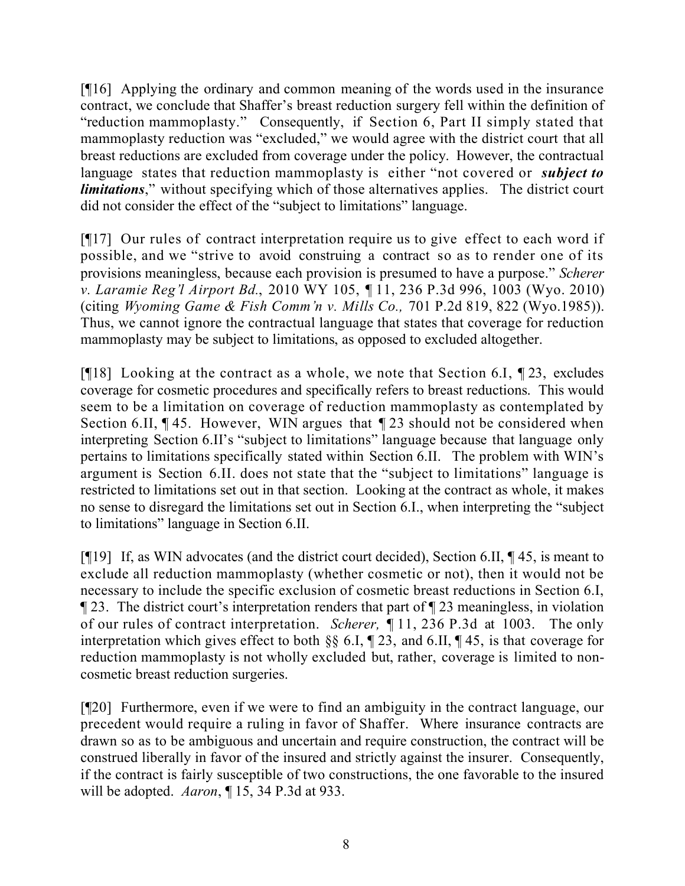[¶16] Applying the ordinary and common meaning of the words used in the insurance contract, we conclude that Shaffer's breast reduction surgery fell within the definition of "reduction mammoplasty." Consequently, if Section 6, Part II simply stated that mammoplasty reduction was "excluded," we would agree with the district court that all breast reductions are excluded from coverage under the policy. However, the contractual language states that reduction mammoplasty is either "not covered or *subject to limitations*," without specifying which of those alternatives applies. The district court did not consider the effect of the "subject to limitations" language.

[¶17] Our rules of contract interpretation require us to give effect to each word if possible, and we "strive to avoid construing a contract so as to render one of its provisions meaningless, because each provision is presumed to have a purpose." *Scherer v. Laramie Reg'l Airport Bd.*, 2010 WY 105, ¶ 11, 236 P.3d 996, 1003 (Wyo. 2010) (citing *Wyoming Game & Fish Comm'n v. Mills Co.,* 701 P.2d 819, 822 (Wyo.1985)). Thus, we cannot ignore the contractual language that states that coverage for reduction mammoplasty may be subject to limitations, as opposed to excluded altogether.

[¶18] Looking at the contract as a whole, we note that Section 6.I, ¶ 23, excludes coverage for cosmetic procedures and specifically refers to breast reductions. This would seem to be a limitation on coverage of reduction mammoplasty as contemplated by Section 6.II, ¶ 45. However, WIN argues that ¶ 23 should not be considered when interpreting Section 6.II's "subject to limitations" language because that language only pertains to limitations specifically stated within Section 6.II. The problem with WIN's argument is Section 6.II. does not state that the "subject to limitations" language is restricted to limitations set out in that section. Looking at the contract as whole, it makes no sense to disregard the limitations set out in Section 6.I., when interpreting the "subject to limitations" language in Section 6.II.

[¶19] If, as WIN advocates (and the district court decided), Section 6.II, ¶ 45, is meant to exclude all reduction mammoplasty (whether cosmetic or not), then it would not be necessary to include the specific exclusion of cosmetic breast reductions in Section 6.I, ¶ 23. The district court's interpretation renders that part of ¶ 23 meaningless, in violation of our rules of contract interpretation. *Scherer,* ¶ 11, 236 P.3d at 1003. The only interpretation which gives effect to both §§ 6.I, ¶ 23, and 6.II, ¶ 45, is that coverage for reduction mammoplasty is not wholly excluded but, rather, coverage is limited to noncosmetic breast reduction surgeries.

[¶20] Furthermore, even if we were to find an ambiguity in the contract language, our precedent would require a ruling in favor of Shaffer. Where insurance contracts are drawn so as to be ambiguous and uncertain and require construction, the contract will be construed liberally in favor of the insured and strictly against the insurer. Consequently, if the contract is fairly susceptible of two constructions, the one favorable to the insured will be adopted. *Aaron*, ¶ 15, 34 P.3d at 933.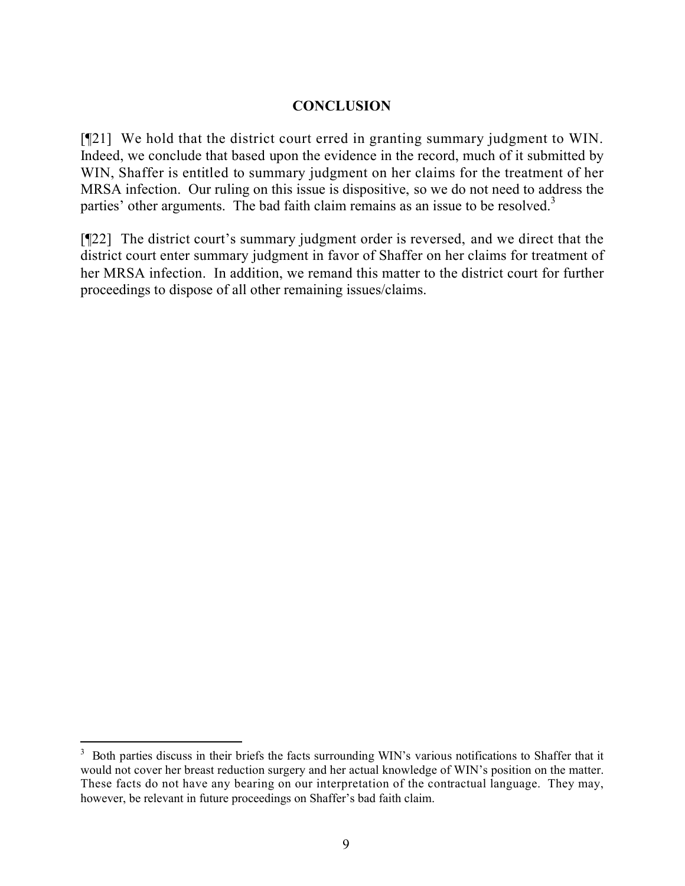## **CONCLUSION**

[¶21] We hold that the district court erred in granting summary judgment to WIN. Indeed, we conclude that based upon the evidence in the record, much of it submitted by WIN, Shaffer is entitled to summary judgment on her claims for the treatment of her MRSA infection. Our ruling on this issue is dispositive, so we do not need to address the parties' other arguments. The bad faith claim remains as an issue to be resolved.<sup>3</sup>

[¶22] The district court's summary judgment order is reversed, and we direct that the district court enter summary judgment in favor of Shaffer on her claims for treatment of her MRSA infection. In addition, we remand this matter to the district court for further proceedings to dispose of all other remaining issues/claims.

 $\overline{a}$ 

<sup>3</sup> Both parties discuss in their briefs the facts surrounding WIN's various notifications to Shaffer that it would not cover her breast reduction surgery and her actual knowledge of WIN's position on the matter. These facts do not have any bearing on our interpretation of the contractual language. They may, however, be relevant in future proceedings on Shaffer's bad faith claim.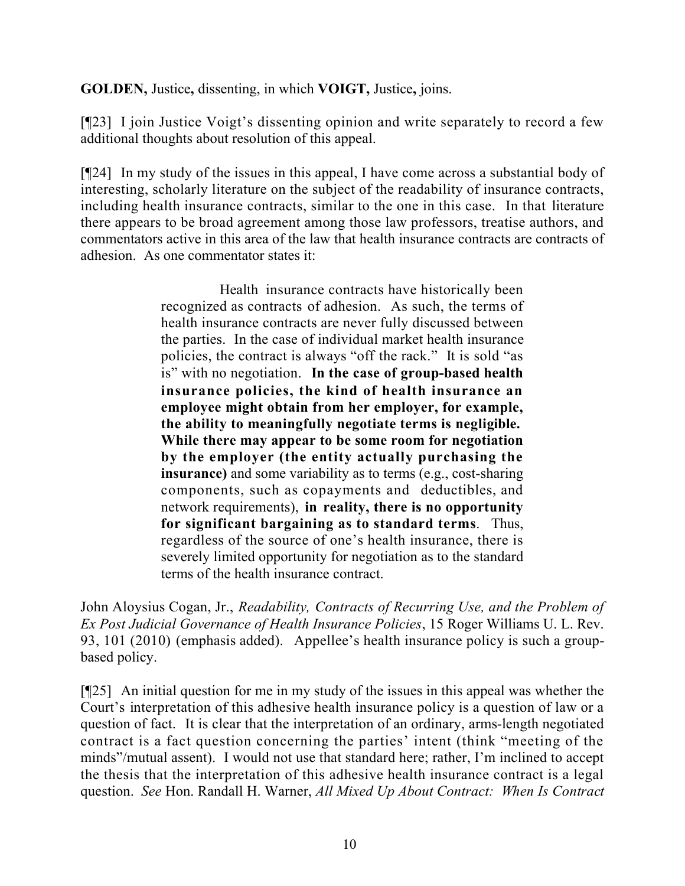**GOLDEN,** Justice**,** dissenting, in which **VOIGT,** Justice**,** joins.

[¶23] I join Justice Voigt's dissenting opinion and write separately to record a few additional thoughts about resolution of this appeal.

[¶24] In my study of the issues in this appeal, I have come across a substantial body of interesting, scholarly literature on the subject of the readability of insurance contracts, including health insurance contracts, similar to the one in this case. In that literature there appears to be broad agreement among those law professors, treatise authors, and commentators active in this area of the law that health insurance contracts are contracts of adhesion. As one commentator states it:

> Health insurance contracts have historically been recognized as contracts of adhesion. As such, the terms of health insurance contracts are never fully discussed between the parties. In the case of individual market health insurance policies, the contract is always "off the rack." It is sold "as is" with no negotiation. **In the case of group-based health insurance policies, the kind of health insurance an employee might obtain from her employer, for example, the ability to meaningfully negotiate terms is negligible. While there may appear to be some room for negotiation by the employer (the entity actually purchasing the insurance)** and some variability as to terms (e.g., cost-sharing components, such as copayments and deductibles, and network requirements), **in reality, there is no opportunity for significant bargaining as to standard terms**. Thus, regardless of the source of one's health insurance, there is severely limited opportunity for negotiation as to the standard terms of the health insurance contract.

John Aloysius Cogan, Jr., *Readability, Contracts of Recurring Use, and the Problem of Ex Post Judicial Governance of Health Insurance Policies*, 15 Roger Williams U. L. Rev. 93, 101 (2010) (emphasis added). Appellee's health insurance policy is such a groupbased policy.

[¶25] An initial question for me in my study of the issues in this appeal was whether the Court's interpretation of this adhesive health insurance policy is a question of law or a question of fact. It is clear that the interpretation of an ordinary, arms-length negotiated contract is a fact question concerning the parties' intent (think "meeting of the minds"/mutual assent). I would not use that standard here; rather, I'm inclined to accept the thesis that the interpretation of this adhesive health insurance contract is a legal question. *See* Hon. Randall H. Warner, *All Mixed Up About Contract: When Is Contract*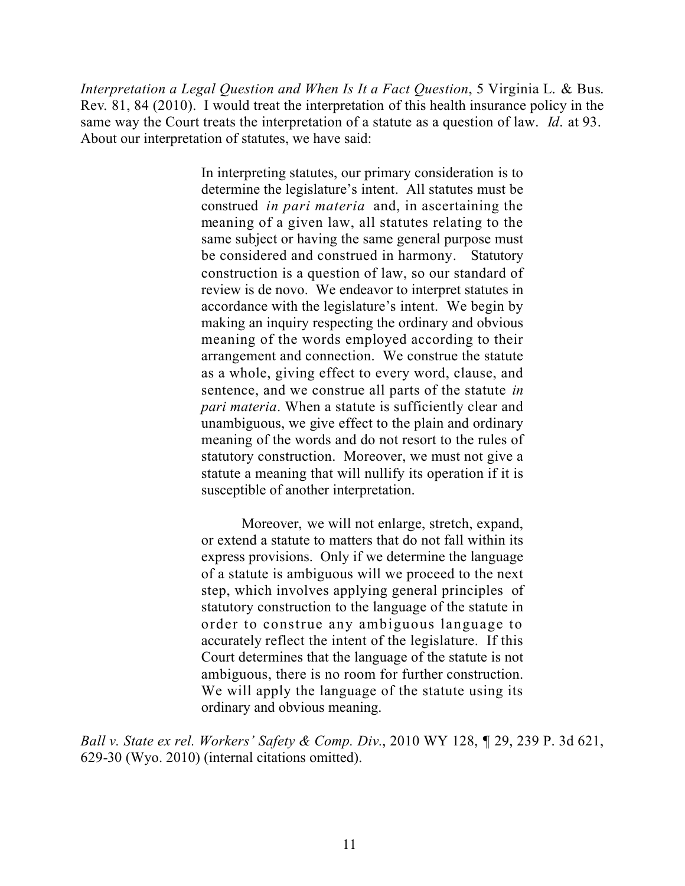*Interpretation a Legal Question and When Is It a Fact Question*, 5 Virginia L. & Bus. Rev. 81, 84 (2010). I would treat the interpretation of this health insurance policy in the same way the Court treats the interpretation of a statute as a question of law. *Id*. at 93. About our interpretation of statutes, we have said:

> In interpreting statutes, our primary consideration is to determine the legislature's intent. All statutes must be construed *in pari materia* and, in ascertaining the meaning of a given law, all statutes relating to the same subject or having the same general purpose must be considered and construed in harmony. Statutory construction is a question of law, so our standard of review is de novo. We endeavor to interpret statutes in accordance with the legislature's intent. We begin by making an inquiry respecting the ordinary and obvious meaning of the words employed according to their arrangement and connection. We construe the statute as a whole, giving effect to every word, clause, and sentence, and we construe all parts of the statute *in pari materia*. When a statute is sufficiently clear and unambiguous, we give effect to the plain and ordinary meaning of the words and do not resort to the rules of statutory construction. Moreover, we must not give a statute a meaning that will nullify its operation if it is susceptible of another interpretation.

> Moreover, we will not enlarge, stretch, expand, or extend a statute to matters that do not fall within its express provisions. Only if we determine the language of a statute is ambiguous will we proceed to the next step, which involves applying general principles of statutory construction to the language of the statute in order to construe any ambiguous language to accurately reflect the intent of the legislature. If this Court determines that the language of the statute is not ambiguous, there is no room for further construction. We will apply the language of the statute using its ordinary and obvious meaning.

*Ball v. State ex rel. Workers' Safety & Comp. Div.*, 2010 WY 128, ¶ 29, 239 P. 3d 621, 629-30 (Wyo. 2010) (internal citations omitted).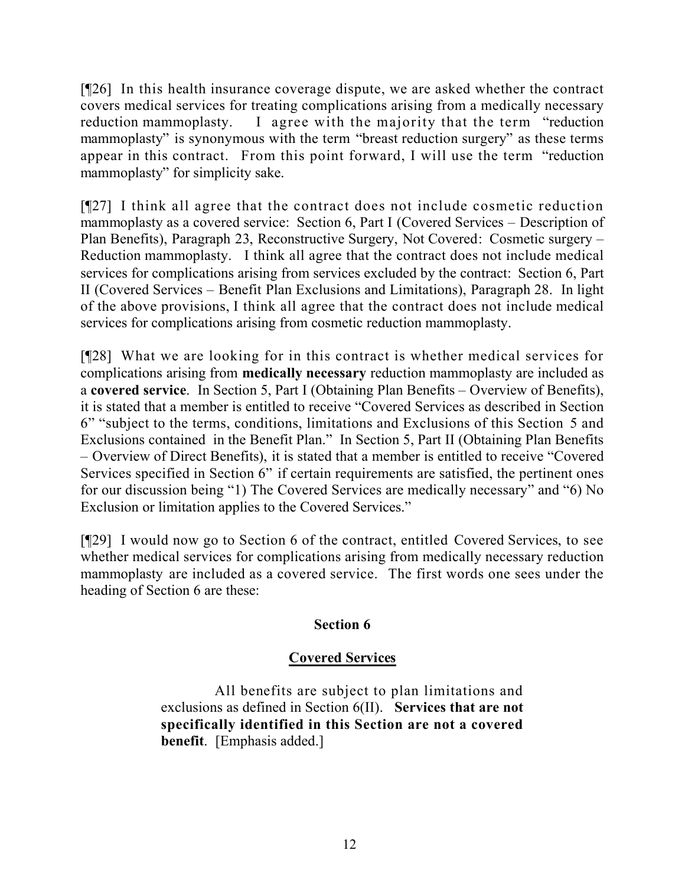[¶26] In this health insurance coverage dispute, we are asked whether the contract covers medical services for treating complications arising from a medically necessary reduction mammoplasty. I agree with the majority that the term "reduction mammoplasty" is synonymous with the term "breast reduction surgery" as these terms appear in this contract. From this point forward, I will use the term "reduction mammoplasty" for simplicity sake.

[¶27] I think all agree that the contract does not include cosmetic reduction mammoplasty as a covered service: Section 6, Part I (Covered Services – Description of Plan Benefits), Paragraph 23, Reconstructive Surgery, Not Covered: Cosmetic surgery – Reduction mammoplasty. I think all agree that the contract does not include medical services for complications arising from services excluded by the contract: Section 6, Part II (Covered Services – Benefit Plan Exclusions and Limitations), Paragraph 28. In light of the above provisions, I think all agree that the contract does not include medical services for complications arising from cosmetic reduction mammoplasty.

[¶28] What we are looking for in this contract is whether medical services for complications arising from **medically necessary** reduction mammoplasty are included as a **covered service**. In Section 5, Part I (Obtaining Plan Benefits – Overview of Benefits), it is stated that a member is entitled to receive "Covered Services as described in Section 6" "subject to the terms, conditions, limitations and Exclusions of this Section 5 and Exclusions contained in the Benefit Plan." In Section 5, Part II (Obtaining Plan Benefits – Overview of Direct Benefits), it is stated that a member is entitled to receive "Covered Services specified in Section 6" if certain requirements are satisfied, the pertinent ones for our discussion being "1) The Covered Services are medically necessary" and "6) No Exclusion or limitation applies to the Covered Services."

[¶29] I would now go to Section 6 of the contract, entitled Covered Services, to see whether medical services for complications arising from medically necessary reduction mammoplasty are included as a covered service. The first words one sees under the heading of Section 6 are these:

## **Section 6**

## **Covered Services**

All benefits are subject to plan limitations and exclusions as defined in Section 6(II). **Services that are not specifically identified in this Section are not a covered benefit**. [Emphasis added.]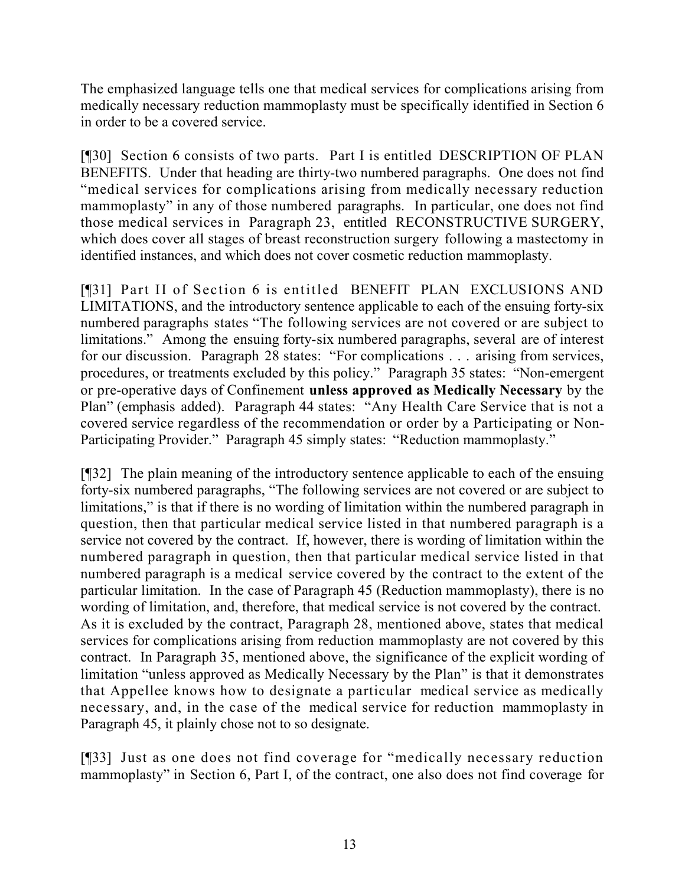The emphasized language tells one that medical services for complications arising from medically necessary reduction mammoplasty must be specifically identified in Section 6 in order to be a covered service.

[¶30] Section 6 consists of two parts. Part I is entitled DESCRIPTION OF PLAN BENEFITS. Under that heading are thirty-two numbered paragraphs. One does not find "medical services for complications arising from medically necessary reduction mammoplasty" in any of those numbered paragraphs. In particular, one does not find those medical services in Paragraph 23, entitled RECONSTRUCTIVE SURGERY, which does cover all stages of breast reconstruction surgery following a mastectomy in identified instances, and which does not cover cosmetic reduction mammoplasty.

[¶31] Part II of Section 6 is entitled BENEFIT PLAN EXCLUSIONS AND LIMITATIONS, and the introductory sentence applicable to each of the ensuing forty-six numbered paragraphs states "The following services are not covered or are subject to limitations." Among the ensuing forty-six numbered paragraphs, several are of interest for our discussion. Paragraph 28 states: "For complications . . . arising from services, procedures, or treatments excluded by this policy." Paragraph 35 states: "Non-emergent or pre-operative days of Confinement **unless approved as Medically Necessary** by the Plan" (emphasis added). Paragraph 44 states: "Any Health Care Service that is not a covered service regardless of the recommendation or order by a Participating or Non-Participating Provider." Paragraph 45 simply states: "Reduction mammoplasty."

[¶32] The plain meaning of the introductory sentence applicable to each of the ensuing forty-six numbered paragraphs, "The following services are not covered or are subject to limitations," is that if there is no wording of limitation within the numbered paragraph in question, then that particular medical service listed in that numbered paragraph is a service not covered by the contract. If, however, there is wording of limitation within the numbered paragraph in question, then that particular medical service listed in that numbered paragraph is a medical service covered by the contract to the extent of the particular limitation. In the case of Paragraph 45 (Reduction mammoplasty), there is no wording of limitation, and, therefore, that medical service is not covered by the contract. As it is excluded by the contract, Paragraph 28, mentioned above, states that medical services for complications arising from reduction mammoplasty are not covered by this contract. In Paragraph 35, mentioned above, the significance of the explicit wording of limitation "unless approved as Medically Necessary by the Plan" is that it demonstrates that Appellee knows how to designate a particular medical service as medically necessary, and, in the case of the medical service for reduction mammoplasty in Paragraph 45, it plainly chose not to so designate.

[¶33] Just as one does not find coverage for "medically necessary reduction mammoplasty" in Section 6, Part I, of the contract, one also does not find coverage for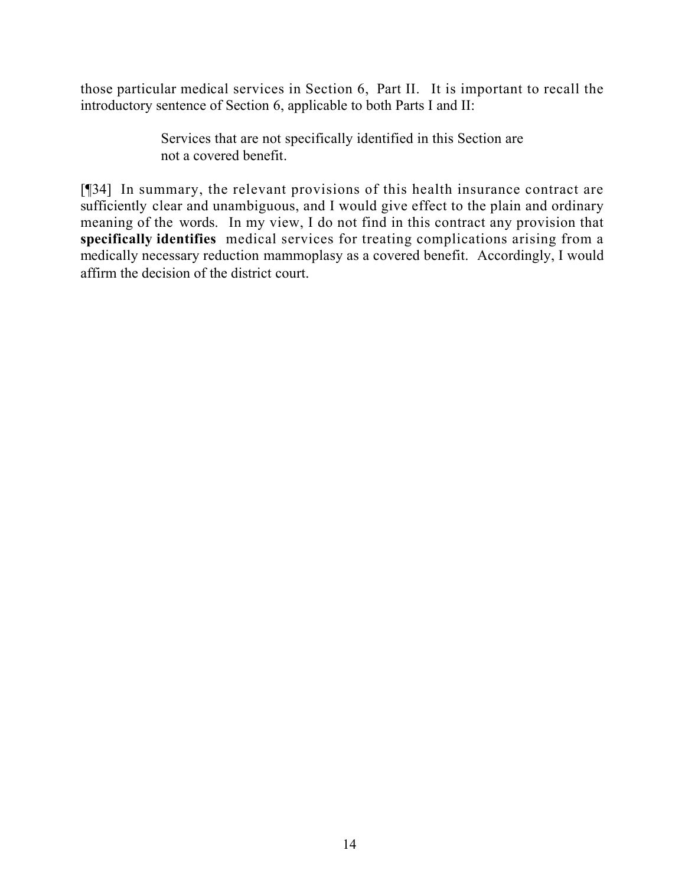those particular medical services in Section 6, Part II. It is important to recall the introductory sentence of Section 6, applicable to both Parts I and II:

> Services that are not specifically identified in this Section are not a covered benefit.

[¶34] In summary, the relevant provisions of this health insurance contract are sufficiently clear and unambiguous, and I would give effect to the plain and ordinary meaning of the words. In my view, I do not find in this contract any provision that **specifically identifies** medical services for treating complications arising from a medically necessary reduction mammoplasy as a covered benefit. Accordingly, I would affirm the decision of the district court.